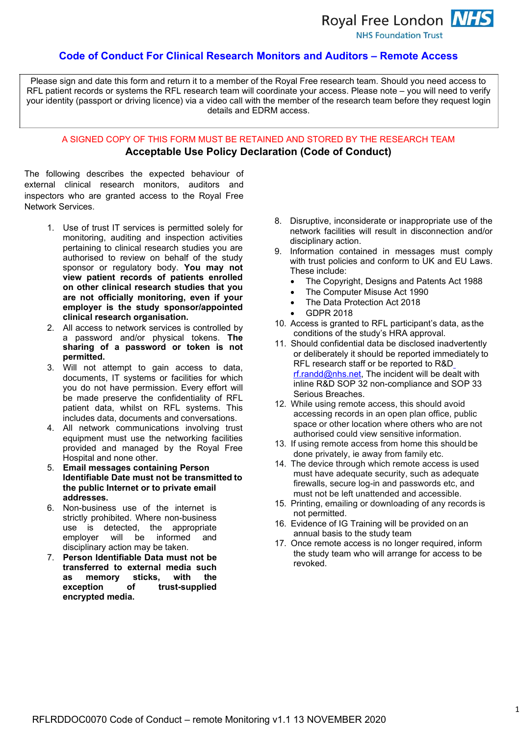Royal Free London NHS

**NHS Foundation Trust** 

## **Code of Conduct For Clinical Research Monitors and Auditors – Remote Access**

Please sign and date this form and return it to a member of the Royal Free research team. Should you need access to RFL patient records or systems the RFL research team will coordinate your access. Please note – you will need to verify your identity (passport or driving licence) via a video call with the member of the research team before they request login details and EDRM access.

# A SIGNED COPY OF THIS FORM MUST BE RETAINED AND STORED BY THE RESEARCH TEAM **Acceptable Use Policy Declaration (Code of Conduct)**

The following describes the expected behaviour of external clinical research monitors, auditors and inspectors who are granted access to the Royal Free Network Services.

- 1. Use of trust IT services is permitted solely for monitoring, auditing and inspection activities pertaining to clinical research studies you are authorised to review on behalf of the study sponsor or regulatory body. **You may not view patient records of patients enrolled on other clinical research studies that you are not officially monitoring, even if your employer is the study sponsor/appointed clinical research organisation.**
- 2. All access to network services is controlled by a password and/or physical tokens. **The sharing of a password or token is not permitted.**
- 3. Will not attempt to gain access to data, documents, IT systems or facilities for which you do not have permission. Every effort will be made preserve the confidentiality of RFL patient data, whilst on RFL systems. This includes data, documents and conversations.
- 4. All network communications involving trust equipment must use the networking facilities provided and managed by the Royal Free Hospital and none other.
- 5. **Email messages containing Person Identifiable Date must not be transmitted to the public Internet or to private email addresses.**
- 6. Non-business use of the internet is strictly prohibited. Where non-business use is detected, the appropriate employer will be informed and disciplinary action may be taken.
- 7. **Person Identifiable Data must not be transferred to external media such as memory sticks, with the** exception of trust-supplied **encrypted media.**
- 8. Disruptive, inconsiderate or inappropriate use of the network facilities will result in disconnection and/or disciplinary action.
- 9. Information contained in messages must comply with trust policies and conform to UK and EU Laws. These include:
	- The Copyright, Designs and Patents Act 1988
	- The Computer Misuse Act 1990
	- The Data Protection Act 2018
	- GDPR 2018
- 10. Access is granted to RFL participant's data, as the conditions of the study's HRA approval.
- 11. Should confidential data be disclosed inadvertently or deliberately it should be reported immediately to RFL research staff or be reported to R&[D](mailto:rf.randd@nhs.net) [rf.randd@nhs.net, T](mailto:rf.randd@nhs.net)he incident will be dealt with inline R&D SOP 32 non-compliance and SOP 33 Serious Breaches.
- 12. While using remote access, this should avoid accessing records in an open plan office, public space or other location where others who are not authorised could view sensitive information.
- 13. If using remote access from home this should be done privately, ie away from family etc.
- 14. The device through which remote access is used must have adequate security, such as adequate firewalls, secure log-in and passwords etc, and must not be left unattended and accessible.
- 15. Printing, emailing or downloading of any records is not permitted.
- 16. Evidence of IG Training will be provided on an annual basis to the study team
- 17. Once remote access is no longer required, inform the study team who will arrange for access to be revoked.